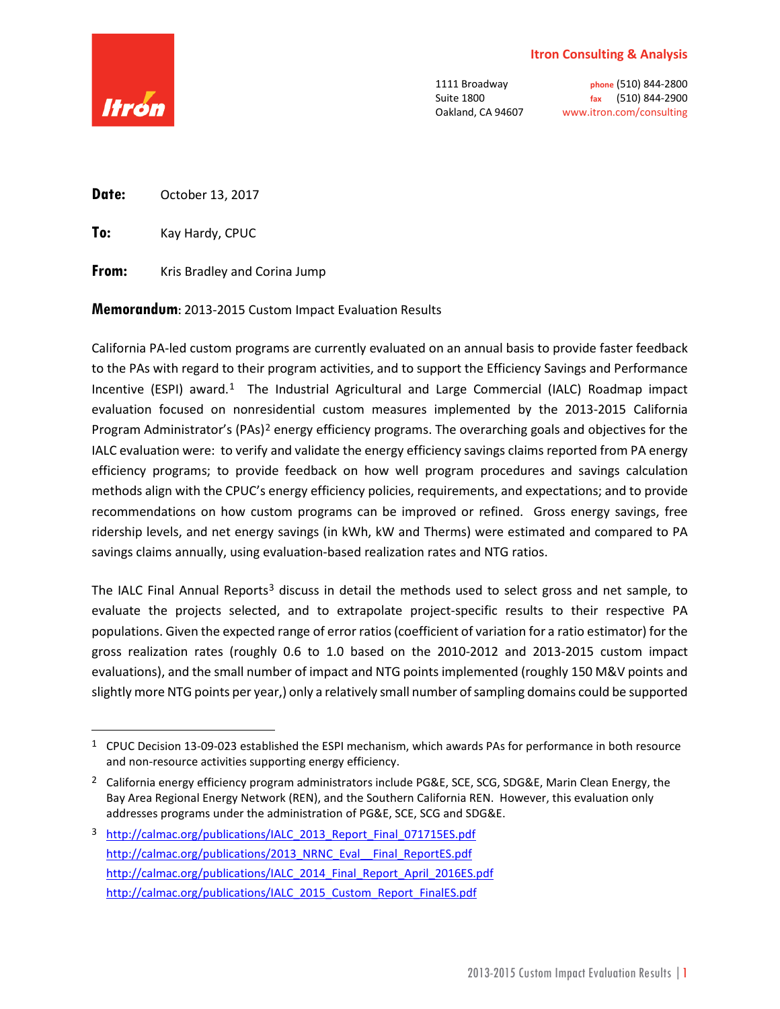### **Itron Consulting & Analysis**



1111 Broadway **phone** (510) 844-2800 Suite 1800 **fax** (510) 844-2900 Oakland, CA 94607 www.itron.com/consulting

**Date:** October 13, 2017

**To:** Kay Hardy, CPUC

**From:** Kris Bradley and Corina Jump

**Memorandum**: 2013-2015 Custom Impact Evaluation Results

California PA-led custom programs are currently evaluated on an annual basis to provide faster feedback to the PAs with regard to their program activities, and to support the Efficiency Savings and Performance Incentive (ESPI) award.<sup>[1](#page-0-0)</sup> The Industrial Agricultural and Large Commercial (IALC) Roadmap impact evaluation focused on nonresidential custom measures implemented by the 2013-2015 California Program Administrator's (PAs)<sup>[2](#page-0-1)</sup> energy efficiency programs. The overarching goals and objectives for the IALC evaluation were: to verify and validate the energy efficiency savings claims reported from PA energy efficiency programs; to provide feedback on how well program procedures and savings calculation methods align with the CPUC's energy efficiency policies, requirements, and expectations; and to provide recommendations on how custom programs can be improved or refined. Gross energy savings, free ridership levels, and net energy savings (in kWh, kW and Therms) were estimated and compared to PA savings claims annually, using evaluation-based realization rates and NTG ratios.

The IALC Final Annual Reports<sup>[3](#page-0-2)</sup> discuss in detail the methods used to select gross and net sample, to evaluate the projects selected, and to extrapolate project-specific results to their respective PA populations. Given the expected range of error ratios (coefficient of variation for a ratio estimator) for the gross realization rates (roughly 0.6 to 1.0 based on the 2010-2012 and 2013-2015 custom impact evaluations), and the small number of impact and NTG points implemented (roughly 150 M&V points and slightly more NTG points per year,) only a relatively small number of sampling domains could be supported

<span id="page-0-0"></span> <sup>1</sup> CPUC Decision 13-09-023 established the ESPI mechanism, which awards PAs for performance in both resource and non-resource activities supporting energy efficiency.

<span id="page-0-1"></span><sup>&</sup>lt;sup>2</sup> California energy efficiency program administrators include PG&E, SCE, SCG, SDG&E, Marin Clean Energy, the Bay Area Regional Energy Network (REN), and the Southern California REN. However, this evaluation only addresses programs under the administration of PG&E, SCE, SCG and SDG&E.

<span id="page-0-2"></span><sup>&</sup>lt;sup>3</sup> [http://calmac.org/publications/IALC\\_2013\\_Report\\_Final\\_071715ES.pdf](http://calmac.org/publications/IALC_2013_Report_Final_071715ES.pdf) [http://calmac.org/publications/2013\\_NRNC\\_Eval\\_\\_Final\\_ReportES.pdf](http://calmac.org/publications/2013_NRNC_Eval__Final_ReportES.pdf) [http://calmac.org/publications/IALC\\_2014\\_Final\\_Report\\_April\\_2016ES.pdf](http://calmac.org/publications/IALC_2014_Final_Report_April_2016ES.pdf) [http://calmac.org/publications/IALC\\_2015\\_Custom\\_Report\\_FinalES.pdf](http://calmac.org/publications/IALC_2015_Custom_Report_FinalES.pdf)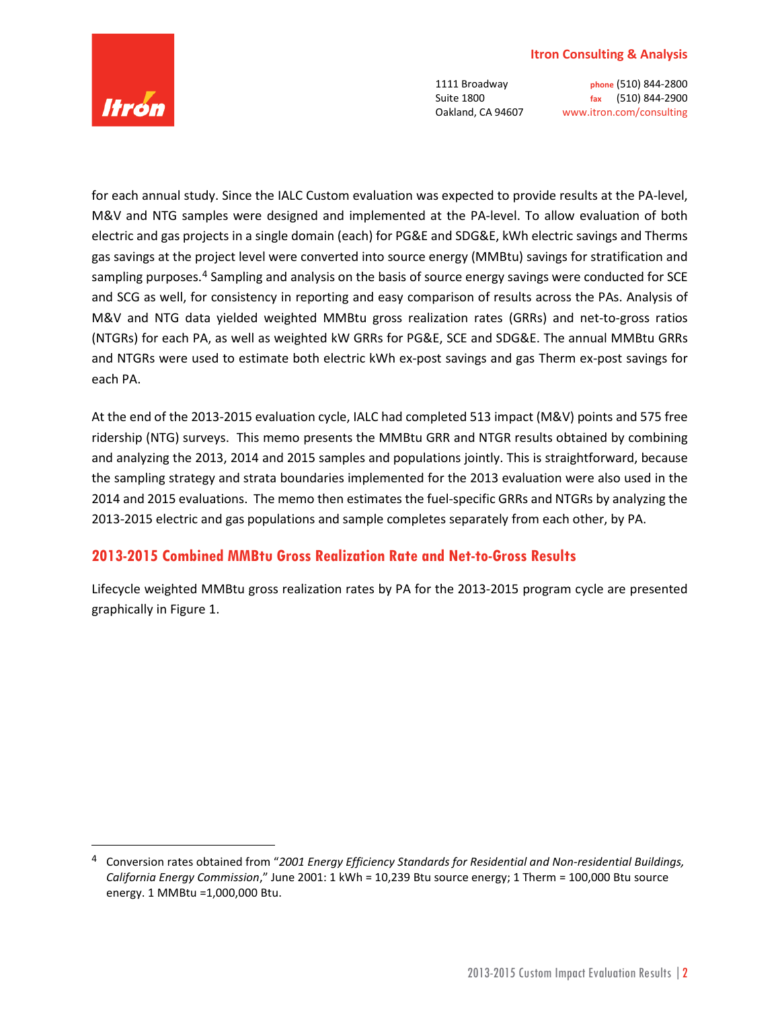#### **Itron Consulting & Analysis**



1111 Broadway **phone** (510) 844-2800 Suite 1800 **fax** (510) 844-2900 Oakland, CA 94607 www.itron.com/consulting

for each annual study. Since the IALC Custom evaluation was expected to provide results at the PA-level, M&V and NTG samples were designed and implemented at the PA-level. To allow evaluation of both electric and gas projects in a single domain (each) for PG&E and SDG&E, kWh electric savings and Therms gas savings at the project level were converted into source energy (MMBtu) savings for stratification and sampling purposes.<sup>[4](#page-1-0)</sup> Sampling and analysis on the basis of source energy savings were conducted for SCE and SCG as well, for consistency in reporting and easy comparison of results across the PAs. Analysis of M&V and NTG data yielded weighted MMBtu gross realization rates (GRRs) and net-to-gross ratios (NTGRs) for each PA, as well as weighted kW GRRs for PG&E, SCE and SDG&E. The annual MMBtu GRRs and NTGRs were used to estimate both electric kWh ex-post savings and gas Therm ex-post savings for each PA.

At the end of the 2013-2015 evaluation cycle, IALC had completed 513 impact (M&V) points and 575 free ridership (NTG) surveys. This memo presents the MMBtu GRR and NTGR results obtained by combining and analyzing the 2013, 2014 and 2015 samples and populations jointly. This is straightforward, because the sampling strategy and strata boundaries implemented for the 2013 evaluation were also used in the 2014 and 2015 evaluations. The memo then estimates the fuel-specific GRRs and NTGRs by analyzing the 2013-2015 electric and gas populations and sample completes separately from each other, by PA.

### **2013-2015 Combined MMBtu Gross Realization Rate and Net-to-Gross Results**

Lifecycle weighted MMBtu gross realization rates by PA for the 2013-2015 program cycle are presented graphically in Figure 1.

<span id="page-1-0"></span> <sup>4</sup> Conversion rates obtained from "*2001 Energy Efficiency Standards for Residential and Non-residential Buildings, California Energy Commission*," June 2001: 1 kWh = 10,239 Btu source energy; 1 Therm = 100,000 Btu source energy. 1 MMBtu =1,000,000 Btu.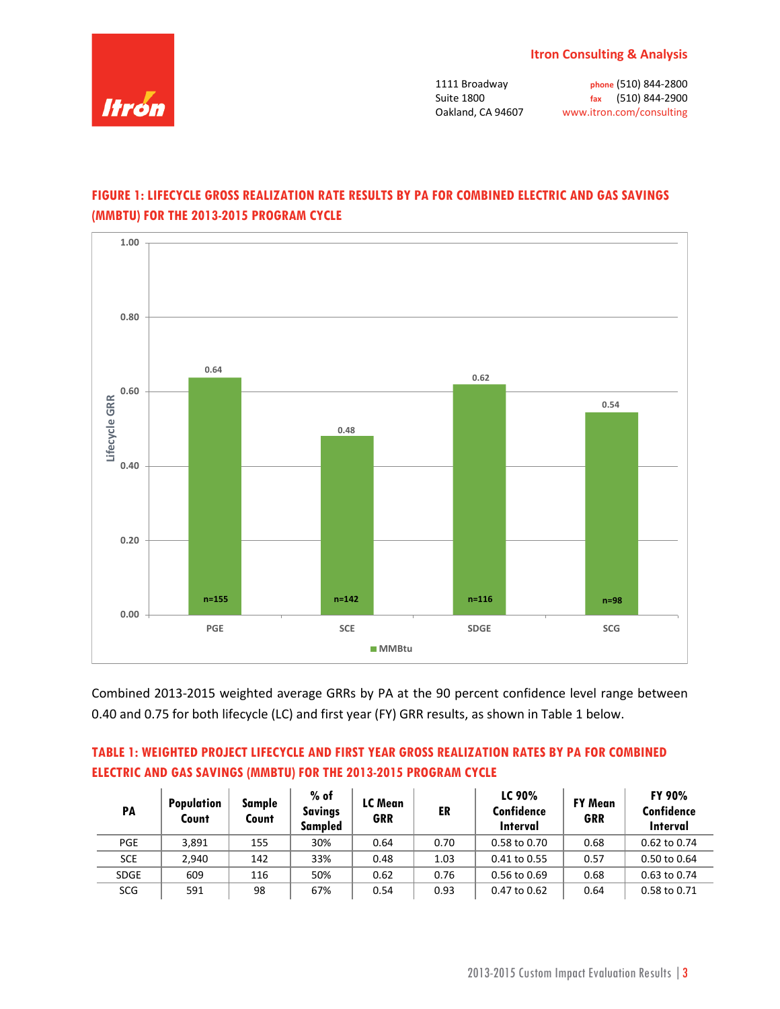

# **FIGURE 1: LIFECYCLE GROSS REALIZATION RATE RESULTS BY PA FOR COMBINED ELECTRIC AND GAS SAVINGS (MMBTU) FOR THE 2013-2015 PROGRAM CYCLE**



Combined 2013-2015 weighted average GRRs by PA at the 90 percent confidence level range between 0.40 and 0.75 for both lifecycle (LC) and first year (FY) GRR results, as shown in Table 1 below.

### **TABLE 1: WEIGHTED PROJECT LIFECYCLE AND FIRST YEAR GROSS REALIZATION RATES BY PA FOR COMBINED ELECTRIC AND GAS SAVINGS (MMBTU) FOR THE 2013-2015 PROGRAM CYCLE**

| PA          | <b>Population</b><br>Count | Sample<br>Count | $%$ of<br><b>Savings</b><br>Sampled | LC Mean<br><b>GRR</b> | ER   | LC 90%<br>Confidence<br>Interval | <b>FY Mean</b><br><b>GRR</b> | <b>FY 90%</b><br>Confidence<br>Interval |
|-------------|----------------------------|-----------------|-------------------------------------|-----------------------|------|----------------------------------|------------------------------|-----------------------------------------|
| <b>PGE</b>  | 3,891                      | 155             | 30%                                 | 0.64                  | 0.70 | $0.58$ to $0.70$                 | 0.68                         | 0.62 to 0.74                            |
| <b>SCE</b>  | 2.940                      | 142             | 33%                                 | 0.48                  | 1.03 | 0.41 to 0.55                     | 0.57                         | 0.50 to 0.64                            |
| <b>SDGE</b> | 609                        | 116             | 50%                                 | 0.62                  | 0.76 | 0.56 to 0.69                     | 0.68                         | 0.63 to 0.74                            |
| SCG         | 591                        | 98              | 67%                                 | 0.54                  | 0.93 | 0.47 to 0.62                     | 0.64                         | 0.58 to 0.71                            |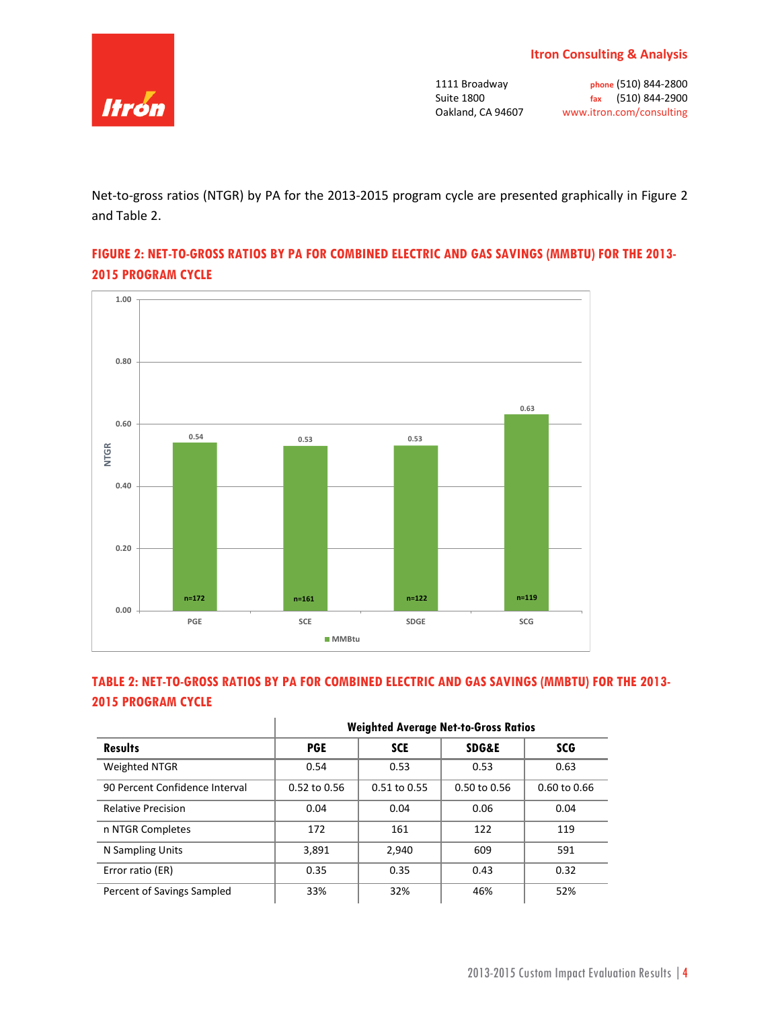

Net-to-gross ratios (NTGR) by PA for the 2013-2015 program cycle are presented graphically in Figure 2 and Table 2.

## **FIGURE 2: NET-TO-GROSS RATIOS BY PA FOR COMBINED ELECTRIC AND GAS SAVINGS (MMBTU) FOR THE 2013- 2015 PROGRAM CYCLE**



# **TABLE 2: NET-TO-GROSS RATIOS BY PA FOR COMBINED ELECTRIC AND GAS SAVINGS (MMBTU) FOR THE 2013- 2015 PROGRAM CYCLE**

|                                | <b>Weighted Average Net-to-Gross Ratios</b> |                  |                  |                         |  |  |  |
|--------------------------------|---------------------------------------------|------------------|------------------|-------------------------|--|--|--|
| <b>Results</b>                 | <b>PGE</b>                                  | <b>SCE</b>       | <b>SDG&amp;E</b> | <b>SCG</b>              |  |  |  |
| Weighted NTGR                  | 0.54                                        | 0.53             | 0.53             | 0.63                    |  |  |  |
| 90 Percent Confidence Interval | $0.52$ to $0.56$                            | $0.51$ to $0.55$ | $0.50$ to $0.56$ | $0.60 \text{ to } 0.66$ |  |  |  |
| <b>Relative Precision</b>      | 0.04                                        | 0.04             | 0.06             | 0.04                    |  |  |  |
| n NTGR Completes               | 172                                         | 161              | 122              | 119                     |  |  |  |
| N Sampling Units               | 3,891                                       | 2,940            | 609              | 591                     |  |  |  |
| Error ratio (ER)               | 0.35                                        | 0.35             | 0.43             | 0.32                    |  |  |  |
| Percent of Savings Sampled     | 33%                                         | 32%              | 46%              | 52%                     |  |  |  |

#### **Weighted Average Net-to-Gross Ratios**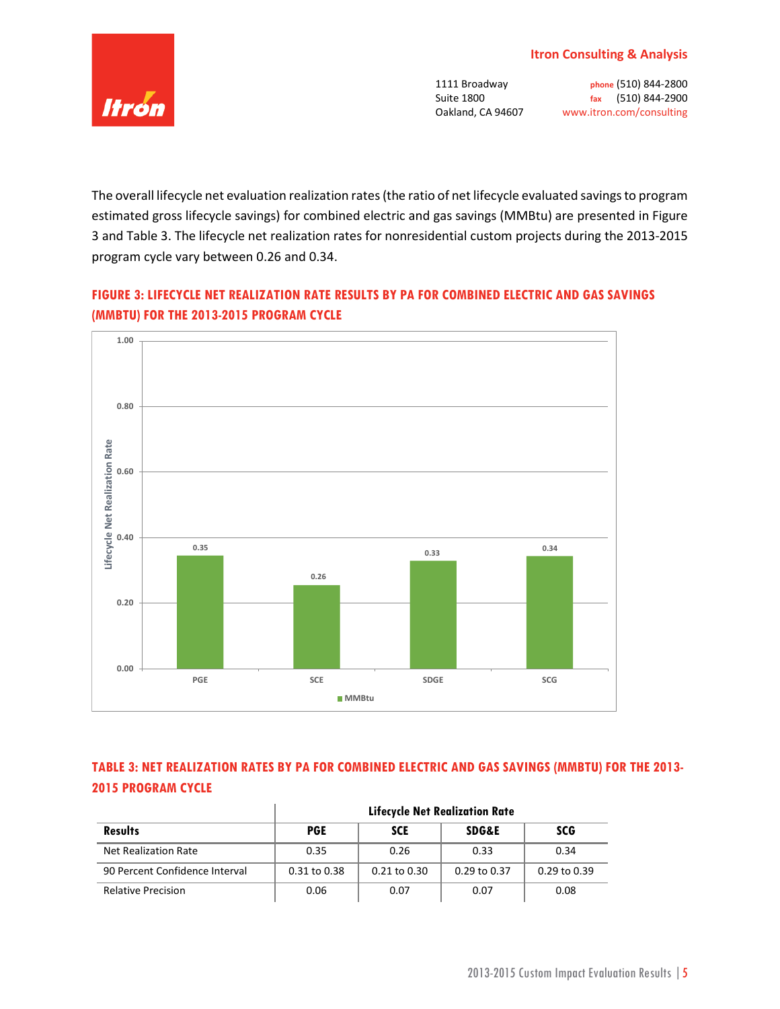

The overall lifecycle net evaluation realization rates (the ratio of net lifecycle evaluated savings to program estimated gross lifecycle savings) for combined electric and gas savings (MMBtu) are presented in Figure 3 and Table 3. The lifecycle net realization rates for nonresidential custom projects during the 2013-2015 program cycle vary between 0.26 and 0.34.

# **FIGURE 3: LIFECYCLE NET REALIZATION RATE RESULTS BY PA FOR COMBINED ELECTRIC AND GAS SAVINGS (MMBTU) FOR THE 2013-2015 PROGRAM CYCLE**



# **TABLE 3: NET REALIZATION RATES BY PA FOR COMBINED ELECTRIC AND GAS SAVINGS (MMBTU) FOR THE 2013- 2015 PROGRAM CYCLE**

|                                | <b>Lifecycle Net Realization Rate</b> |                  |                  |              |  |  |  |
|--------------------------------|---------------------------------------|------------------|------------------|--------------|--|--|--|
| <b>Results</b>                 | <b>PGE</b>                            | <b>SCE</b>       | <b>SDG&amp;E</b> | <b>SCG</b>   |  |  |  |
| Net Realization Rate           | 0.35                                  | 0.26             | 0.33             | 0.34         |  |  |  |
| 90 Percent Confidence Interval | 0.31 to 0.38                          | $0.21$ to $0.30$ | $0.29$ to $0.37$ | 0.29 to 0.39 |  |  |  |
| <b>Relative Precision</b>      | 0.06                                  | 0.07             | 0.07             | 0.08         |  |  |  |

 $\mathbb{I}$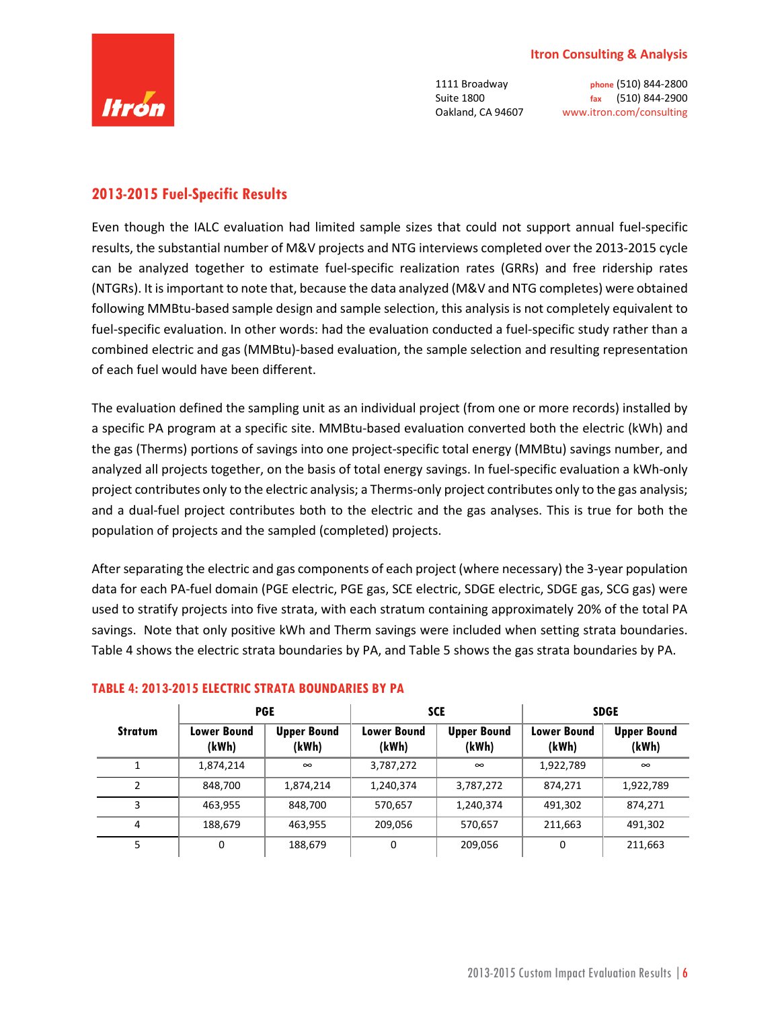

## **2013-2015 Fuel-Specific Results**

Even though the IALC evaluation had limited sample sizes that could not support annual fuel-specific results, the substantial number of M&V projects and NTG interviews completed over the 2013-2015 cycle can be analyzed together to estimate fuel-specific realization rates (GRRs) and free ridership rates (NTGRs). It is important to note that, because the data analyzed (M&V and NTG completes) were obtained following MMBtu-based sample design and sample selection, this analysis is not completely equivalent to fuel-specific evaluation. In other words: had the evaluation conducted a fuel-specific study rather than a combined electric and gas (MMBtu)-based evaluation, the sample selection and resulting representation of each fuel would have been different.

The evaluation defined the sampling unit as an individual project (from one or more records) installed by a specific PA program at a specific site. MMBtu-based evaluation converted both the electric (kWh) and the gas (Therms) portions of savings into one project-specific total energy (MMBtu) savings number, and analyzed all projects together, on the basis of total energy savings. In fuel-specific evaluation a kWh-only project contributes only to the electric analysis; a Therms-only project contributes only to the gas analysis; and a dual-fuel project contributes both to the electric and the gas analyses. This is true for both the population of projects and the sampled (completed) projects.

After separating the electric and gas components of each project (where necessary) the 3-year population data for each PA-fuel domain (PGE electric, PGE gas, SCE electric, SDGE electric, SDGE gas, SCG gas) were used to stratify projects into five strata, with each stratum containing approximately 20% of the total PA savings. Note that only positive kWh and Therm savings were included when setting strata boundaries. Table 4 shows the electric strata boundaries by PA, and Table 5 shows the gas strata boundaries by PA.

|                |                             | <b>PGE</b>                  |                             | <b>SCE</b>                  | <b>SDGE</b>                 |                             |
|----------------|-----------------------------|-----------------------------|-----------------------------|-----------------------------|-----------------------------|-----------------------------|
| <b>Stratum</b> | <b>Lower Bound</b><br>(kWh) | <b>Upper Bound</b><br>(kWh) | <b>Lower Bound</b><br>(kWh) | <b>Upper Bound</b><br>(kWh) | <b>Lower Bound</b><br>(kWh) | <b>Upper Bound</b><br>(kWh) |
|                | 1,874,214                   | $\infty$                    | 3,787,272                   | $\infty$                    | 1,922,789                   | $\infty$                    |
|                | 848,700                     | 1,874,214                   | 1,240,374                   | 3,787,272                   | 874,271                     | 1,922,789                   |
| 3              | 463,955                     | 848,700                     | 570,657                     | 1,240,374                   | 491,302                     | 874,271                     |
| 4              | 188,679                     | 463,955                     | 209,056                     | 570,657                     | 211,663                     | 491,302                     |
| 5              | 0                           | 188,679                     | 0                           | 209,056                     | $\Omega$                    | 211,663                     |

### **TABLE 4: 2013-2015 ELECTRIC STRATA BOUNDARIES BY PA**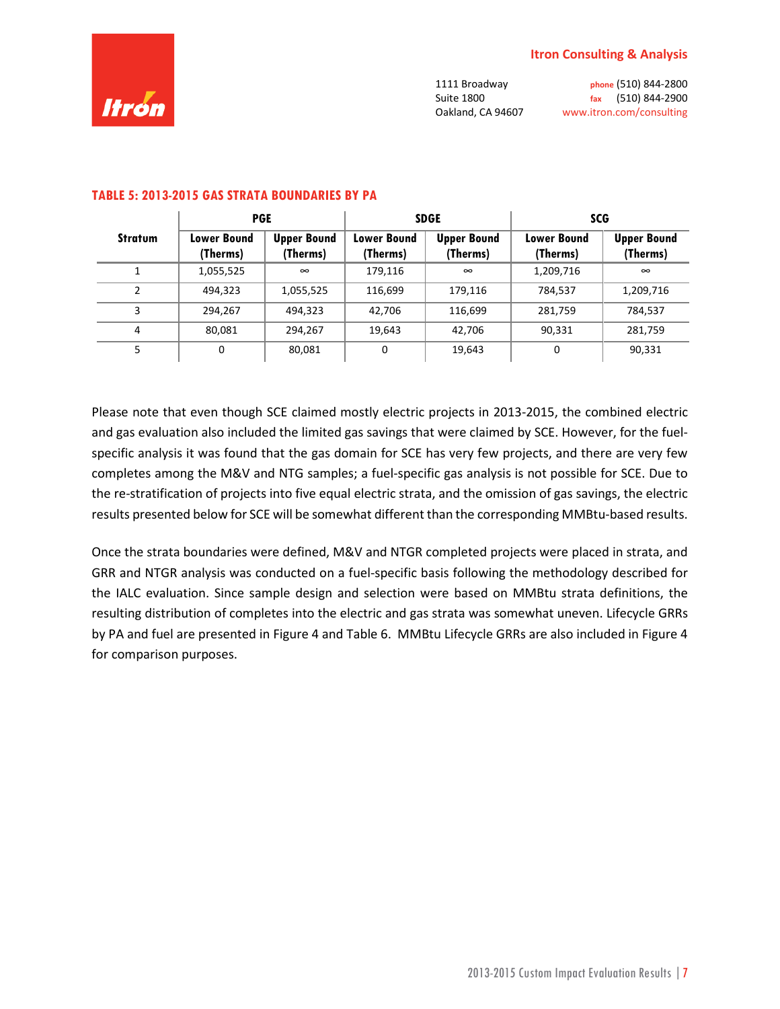

|                | <b>PGE</b>              |                                |                                | <b>SDGE</b>                    | <b>SCG</b>                     |                                |
|----------------|-------------------------|--------------------------------|--------------------------------|--------------------------------|--------------------------------|--------------------------------|
| <b>Stratum</b> | Lower Bound<br>(Therms) | <b>Upper Bound</b><br>(Therms) | <b>Lower Bound</b><br>(Therms) | <b>Upper Bound</b><br>(Therms) | <b>Lower Bound</b><br>(Therms) | <b>Upper Bound</b><br>(Therms) |
|                | 1,055,525               | $\infty$                       | 179,116                        | $\infty$                       | 1,209,716                      | $\infty$                       |
| 2              | 494.323                 | 1,055,525                      | 116,699                        | 179.116                        | 784,537                        | 1,209,716                      |
| 3              | 294.267                 | 494,323                        | 42.706                         | 116,699                        | 281,759                        | 784,537                        |
| 4              | 80,081                  | 294,267                        | 19,643                         | 42,706                         | 90,331                         | 281,759                        |
| 5              | 0                       | 80,081                         | 0                              | 19,643                         | 0                              | 90,331                         |

### **TABLE 5: 2013-2015 GAS STRATA BOUNDARIES BY PA**

Please note that even though SCE claimed mostly electric projects in 2013-2015, the combined electric and gas evaluation also included the limited gas savings that were claimed by SCE. However, for the fuelspecific analysis it was found that the gas domain for SCE has very few projects, and there are very few completes among the M&V and NTG samples; a fuel-specific gas analysis is not possible for SCE. Due to the re-stratification of projects into five equal electric strata, and the omission of gas savings, the electric results presented below for SCE will be somewhat different than the corresponding MMBtu-based results.

Once the strata boundaries were defined, M&V and NTGR completed projects were placed in strata, and GRR and NTGR analysis was conducted on a fuel-specific basis following the methodology described for the IALC evaluation. Since sample design and selection were based on MMBtu strata definitions, the resulting distribution of completes into the electric and gas strata was somewhat uneven. Lifecycle GRRs by PA and fuel are presented in Figure 4 and Table 6. MMBtu Lifecycle GRRs are also included in Figure 4 for comparison purposes.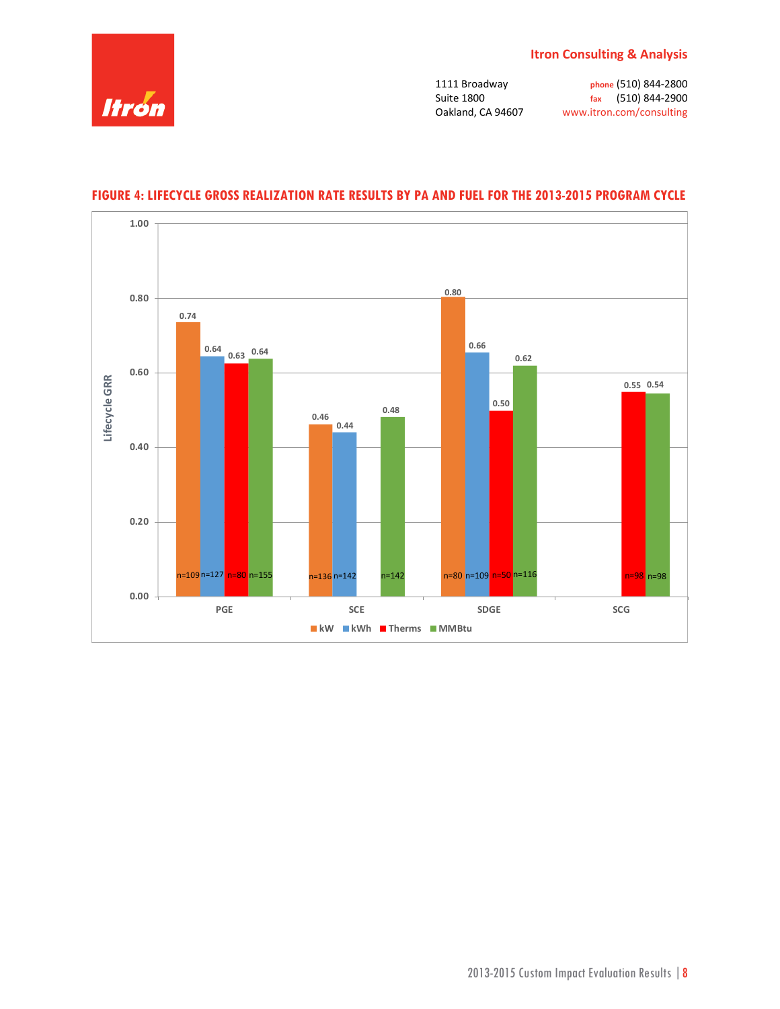



### **FIGURE 4: LIFECYCLE GROSS REALIZATION RATE RESULTS BY PA AND FUEL FOR THE 2013-2015 PROGRAM CYCLE**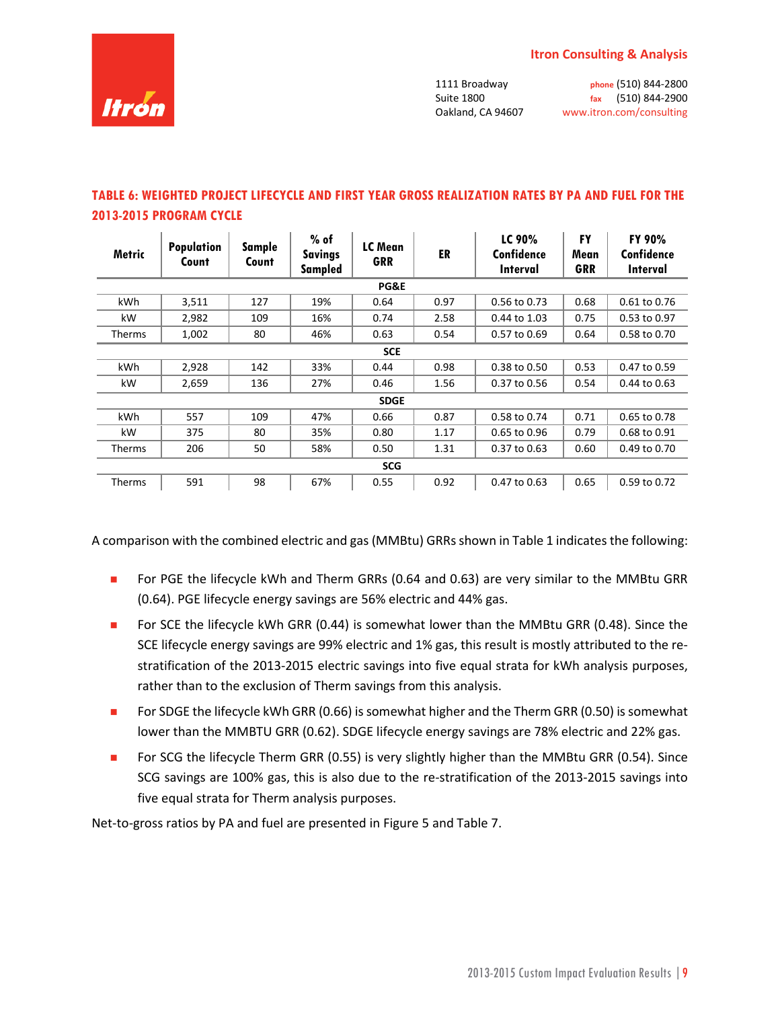

1111 Broadway **phone** (510) 844-2800 Suite 1800 **fax** (510) 844-2900

Oakland, CA 94607 www.itron.com/consulting

| <b>Metric</b>   | <b>Population</b><br>Count | Sample<br>Count | $%$ of<br><b>Savings</b><br><b>Sampled</b> | LC Mean<br><b>GRR</b> | ER   | LC 90%<br>Confidence<br>Interval | FY<br>Mean<br>GRR | FY 90%<br>Confidence<br><b>Interval</b> |  |
|-----------------|----------------------------|-----------------|--------------------------------------------|-----------------------|------|----------------------------------|-------------------|-----------------------------------------|--|
| <b>PG&amp;E</b> |                            |                 |                                            |                       |      |                                  |                   |                                         |  |
| kWh             | 3,511                      | 127             | 19%                                        | 0.64                  | 0.97 | 0.56 to 0.73                     | 0.68              | 0.61 to 0.76                            |  |
| kW              | 2,982                      | 109             | 16%                                        | 0.74                  | 2.58 | 0.44 to 1.03                     | 0.75              | 0.53 to 0.97                            |  |
| <b>Therms</b>   | 1,002                      | 80              | 46%                                        | 0.63                  | 0.54 | $0.57$ to $0.69$                 | 0.64              | 0.58 to 0.70                            |  |
|                 | <b>SCE</b>                 |                 |                                            |                       |      |                                  |                   |                                         |  |
| kWh             | 2,928                      | 142             | 33%                                        | 0.44                  | 0.98 | 0.38 to 0.50                     | 0.53              | 0.47 to 0.59                            |  |
| kW              | 2,659                      | 136             | 27%                                        | 0.46                  | 1.56 | 0.37 to 0.56                     | 0.54              | 0.44 to 0.63                            |  |
|                 |                            |                 |                                            | <b>SDGE</b>           |      |                                  |                   |                                         |  |
| kWh             | 557                        | 109             | 47%                                        | 0.66                  | 0.87 | 0.58 to 0.74                     | 0.71              | 0.65 to 0.78                            |  |
| kW              | 375                        | 80              | 35%                                        | 0.80                  | 1.17 | 0.65 to 0.96                     | 0.79              | 0.68 to 0.91                            |  |
| <b>Therms</b>   | 206                        | 50              | 58%                                        | 0.50                  | 1.31 | 0.37 to 0.63                     | 0.60              | 0.49 to 0.70                            |  |
|                 | <b>SCG</b>                 |                 |                                            |                       |      |                                  |                   |                                         |  |
| Therms          | 591                        | 98              | 67%                                        | 0.55                  | 0.92 | 0.47 to 0.63                     | 0.65              | 0.59 to 0.72                            |  |

### **TABLE 6: WEIGHTED PROJECT LIFECYCLE AND FIRST YEAR GROSS REALIZATION RATES BY PA AND FUEL FOR THE 2013-2015 PROGRAM CYCLE**

A comparison with the combined electric and gas (MMBtu) GRRs shown in Table 1 indicates the following:

- For PGE the lifecycle kWh and Therm GRRs (0.64 and 0.63) are very similar to the MMBtu GRR (0.64). PGE lifecycle energy savings are 56% electric and 44% gas.
- **For SCE the lifecycle kWh GRR (0.44) is somewhat lower than the MMBtu GRR (0.48). Since the** SCE lifecycle energy savings are 99% electric and 1% gas, this result is mostly attributed to the restratification of the 2013-2015 electric savings into five equal strata for kWh analysis purposes, rather than to the exclusion of Therm savings from this analysis.
- For SDGE the lifecycle kWh GRR  $(0.66)$  is somewhat higher and the Therm GRR  $(0.50)$  is somewhat lower than the MMBTU GRR (0.62). SDGE lifecycle energy savings are 78% electric and 22% gas.
- **For SCG the lifecycle Therm GRR (0.55) is very slightly higher than the MMBtu GRR (0.54). Since** SCG savings are 100% gas, this is also due to the re-stratification of the 2013-2015 savings into five equal strata for Therm analysis purposes.

Net-to-gross ratios by PA and fuel are presented in Figure 5 and Table 7.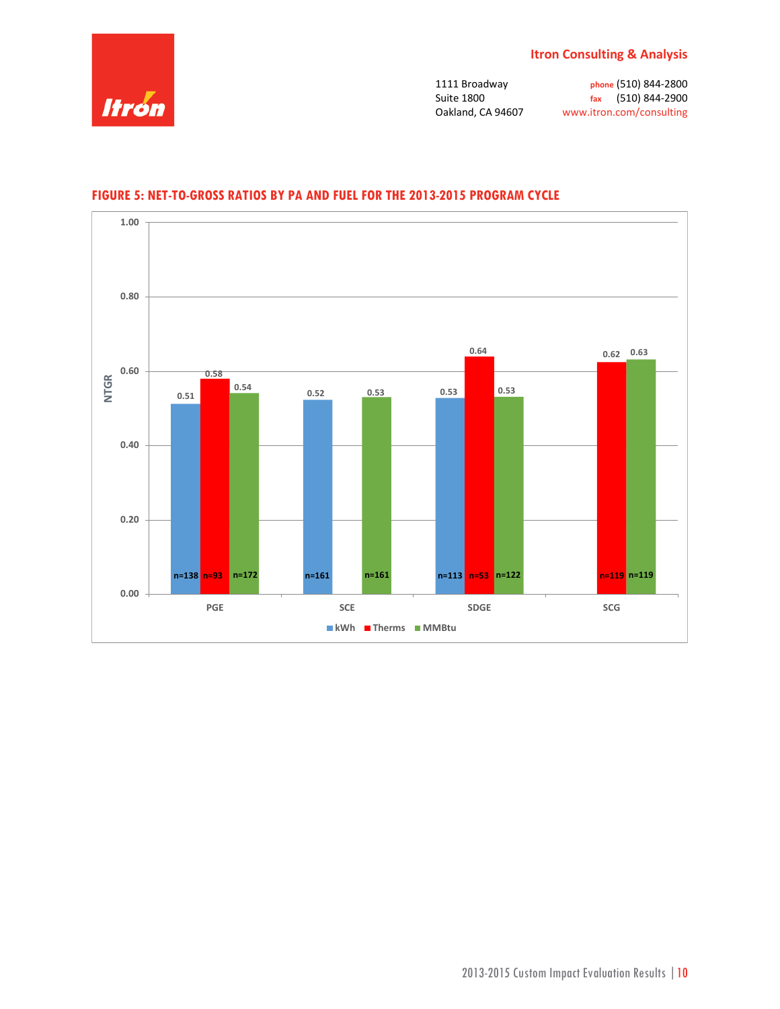



### **FIGURE 5: NET-TO-GROSS RATIOS BY PA AND FUEL FOR THE 2013-2015 PROGRAM CYCLE**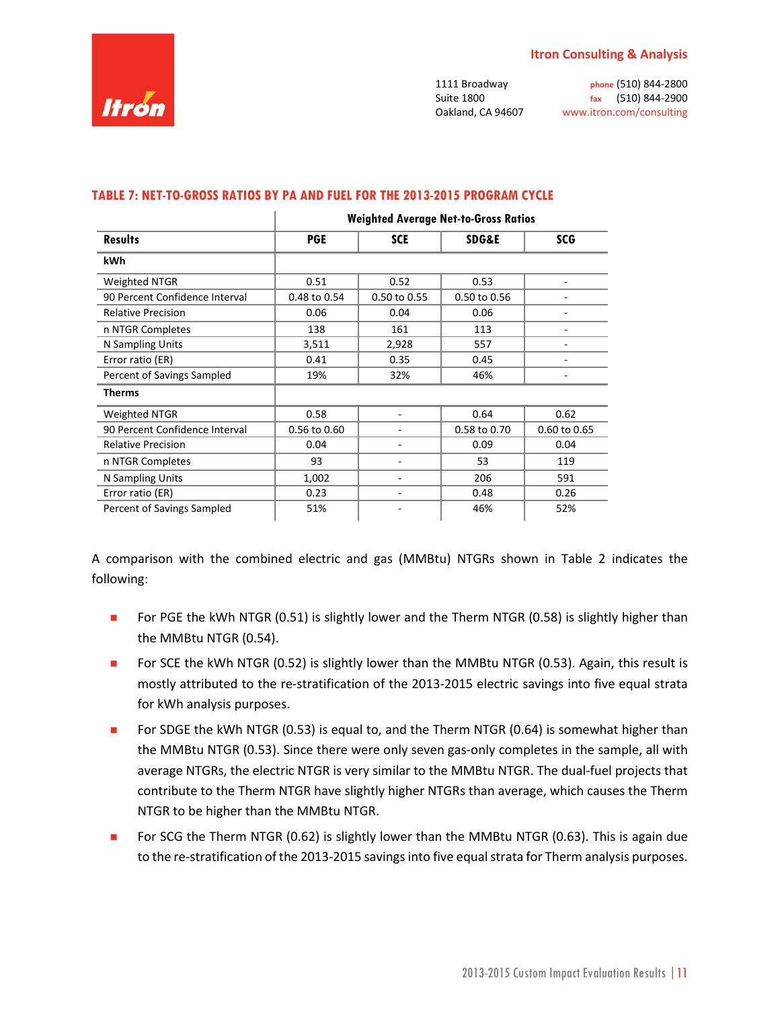

Suite 1800 **fax** (510) 844-2900

1111 Broadway **phone** (510) 844-2800 Oakland, CA 94607 www.itron.com/consulting

|                                | <b>Weighted Average Net-to-Gross Ratios</b> |              |                  |              |  |  |  |
|--------------------------------|---------------------------------------------|--------------|------------------|--------------|--|--|--|
| <b>Results</b>                 | <b>PGE</b>                                  | <b>SCE</b>   | <b>SDG&amp;E</b> | <b>SCG</b>   |  |  |  |
| kWh                            |                                             |              |                  |              |  |  |  |
| Weighted NTGR                  | 0.51                                        | 0.52         | 0.53             |              |  |  |  |
| 90 Percent Confidence Interval | 0.48 to 0.54                                | 0.50 to 0.55 | 0.50 to 0.56     |              |  |  |  |
| <b>Relative Precision</b>      | 0.06                                        | 0.04         | 0.06             | ۰            |  |  |  |
| n NTGR Completes               | 138                                         | 161          | 113              | ۰            |  |  |  |
| N Sampling Units               | 3,511                                       | 2,928        | 557              | ۰            |  |  |  |
| Error ratio (ER)               | 0.41                                        | 0.35         | 0.45             |              |  |  |  |
| Percent of Savings Sampled     | 19%                                         | 32%          | 46%              |              |  |  |  |
| <b>Therms</b>                  |                                             |              |                  |              |  |  |  |
| <b>Weighted NTGR</b>           | 0.58                                        |              | 0.64             | 0.62         |  |  |  |
| 90 Percent Confidence Interval | 0.56 to 0.60                                |              | 0.58 to 0.70     | 0.60 to 0.65 |  |  |  |
| <b>Relative Precision</b>      | 0.04                                        |              | 0.09             | 0.04         |  |  |  |
| n NTGR Completes               | 93                                          |              | 53               | 119          |  |  |  |
| N Sampling Units               | 1,002                                       |              | 206              | 591          |  |  |  |
| Error ratio (ER)               | 0.23                                        | -            | 0.48             | 0.26         |  |  |  |
| Percent of Savings Sampled     | 51%                                         |              | 46%              | 52%          |  |  |  |

#### **TABLE 7: NET-TO-GROSS RATIOS BY PA AND FUEL FOR THE 2013-2015 PROGRAM CYCLE**

 $\mathbf{L}$ 

A comparison with the combined electric and gas (MMBtu) NTGRs shown in Table 2 indicates the following:

- For PGE the kWh NTGR  $(0.51)$  is slightly lower and the Therm NTGR  $(0.58)$  is slightly higher than the MMBtu NTGR (0.54).
- **FOR SCE the kWh NTGR (0.52) is slightly lower than the MMBtu NTGR (0.53). Again, this result is** mostly attributed to the re-stratification of the 2013-2015 electric savings into five equal strata for kWh analysis purposes.
- For SDGE the kWh NTGR (0.53) is equal to, and the Therm NTGR (0.64) is somewhat higher than the MMBtu NTGR (0.53). Since there were only seven gas-only completes in the sample, all with average NTGRs, the electric NTGR is very similar to the MMBtu NTGR. The dual-fuel projects that contribute to the Therm NTGR have slightly higher NTGRs than average, which causes the Therm NTGR to be higher than the MMBtu NTGR.
- For SCG the Therm NTGR (0.62) is slightly lower than the MMBtu NTGR (0.63). This is again due to the re-stratification of the 2013-2015 savings into five equal strata for Therm analysis purposes.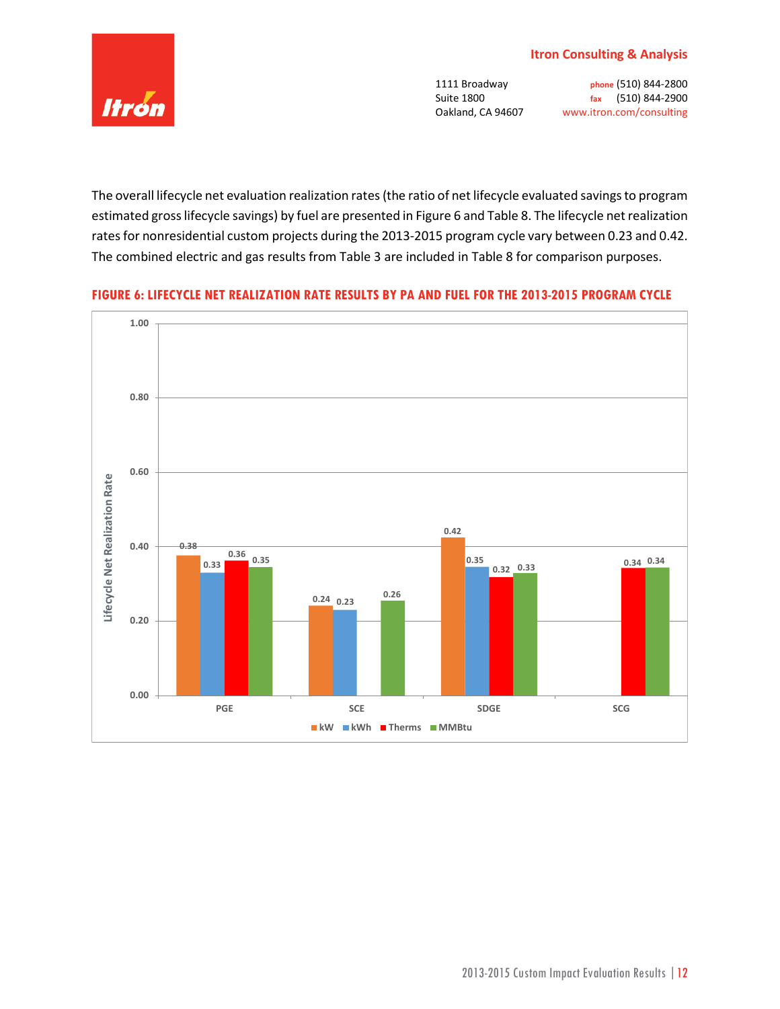

The overall lifecycle net evaluation realization rates (the ratio of net lifecycle evaluated savings to program estimated gross lifecycle savings) by fuel are presented in Figure 6 and Table 8. The lifecycle net realization rates for nonresidential custom projects during the 2013-2015 program cycle vary between 0.23 and 0.42. The combined electric and gas results from Table 3 are included in Table 8 for comparison purposes.

### **FIGURE 6: LIFECYCLE NET REALIZATION RATE RESULTS BY PA AND FUEL FOR THE 2013-2015 PROGRAM CYCLE**

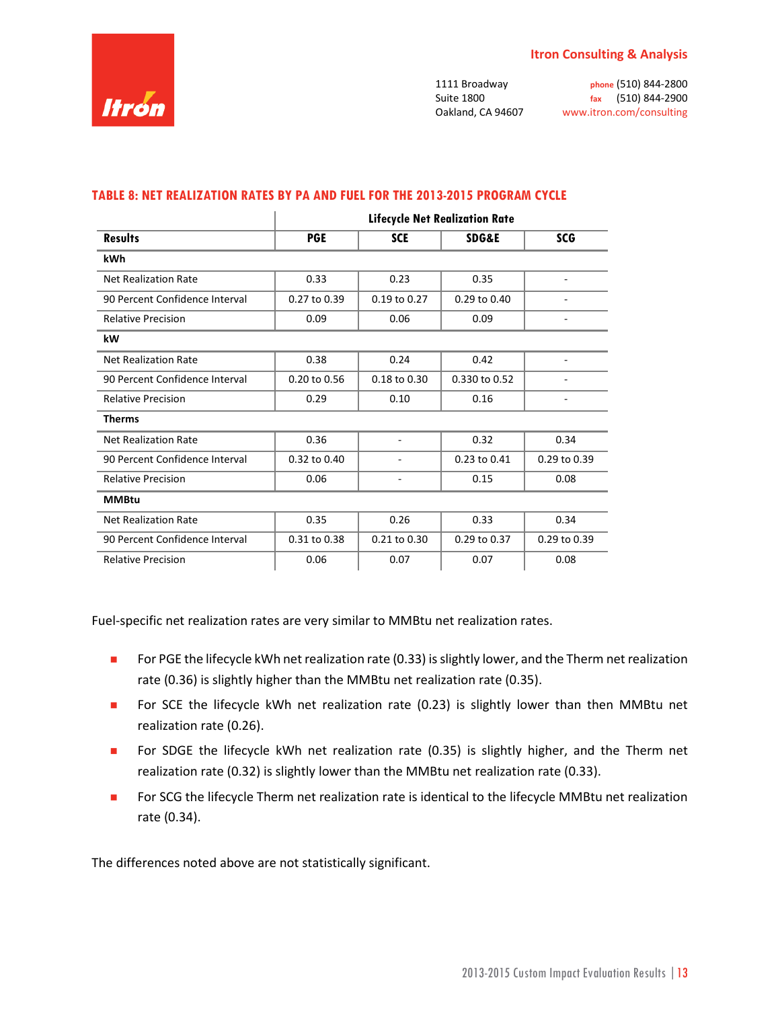

|                                | <b>Lifecycle Net Realization Rate</b> |                  |                  |                  |  |  |  |  |
|--------------------------------|---------------------------------------|------------------|------------------|------------------|--|--|--|--|
| <b>Results</b>                 | <b>PGE</b>                            | <b>SCE</b>       | <b>SDG&amp;E</b> | <b>SCG</b>       |  |  |  |  |
| kWh                            |                                       |                  |                  |                  |  |  |  |  |
| <b>Net Realization Rate</b>    | 0.33                                  | 0.23             | 0.35             |                  |  |  |  |  |
| 90 Percent Confidence Interval | $0.27$ to $0.39$                      | $0.19$ to $0.27$ | $0.29$ to $0.40$ |                  |  |  |  |  |
| <b>Relative Precision</b>      | 0.09                                  | 0.06             | 0.09             |                  |  |  |  |  |
| kW                             |                                       |                  |                  |                  |  |  |  |  |
| <b>Net Realization Rate</b>    | 0.38                                  | 0.24             | 0.42             |                  |  |  |  |  |
| 90 Percent Confidence Interval | 0.20 to 0.56                          | $0.18$ to $0.30$ | 0.330 to 0.52    |                  |  |  |  |  |
| <b>Relative Precision</b>      | 0.29                                  | 0.10             | 0.16             |                  |  |  |  |  |
| <b>Therms</b>                  |                                       |                  |                  |                  |  |  |  |  |
| <b>Net Realization Rate</b>    | 0.36                                  |                  | 0.32             | 0.34             |  |  |  |  |
| 90 Percent Confidence Interval | $0.32$ to $0.40$                      |                  | $0.23$ to $0.41$ | $0.29$ to $0.39$ |  |  |  |  |
| <b>Relative Precision</b>      | 0.06                                  |                  | 0.15             | 0.08             |  |  |  |  |
| <b>MMBtu</b>                   |                                       |                  |                  |                  |  |  |  |  |
| <b>Net Realization Rate</b>    | 0.35                                  | 0.26             | 0.33             | 0.34             |  |  |  |  |
| 90 Percent Confidence Interval | 0.31 to 0.38                          | 0.21 to 0.30     | 0.29 to 0.37     | 0.29 to 0.39     |  |  |  |  |
| <b>Relative Precision</b>      | 0.06                                  | 0.07             | 0.07             | 0.08             |  |  |  |  |

#### **TABLE 8: NET REALIZATION RATES BY PA AND FUEL FOR THE 2013-2015 PROGRAM CYCLE**

Fuel-specific net realization rates are very similar to MMBtu net realization rates.

- **For PGE the lifecycle kWh net realization rate (0.33) is slightly lower, and the Therm net realization** rate (0.36) is slightly higher than the MMBtu net realization rate (0.35).
- **For SCE the lifecycle kWh net realization rate (0.23) is slightly lower than then MMBtu net** realization rate (0.26).
- For SDGE the lifecycle kWh net realization rate (0.35) is slightly higher, and the Therm net realization rate (0.32) is slightly lower than the MMBtu net realization rate (0.33).
- For SCG the lifecycle Therm net realization rate is identical to the lifecycle MMBtu net realization rate (0.34).

The differences noted above are not statistically significant.